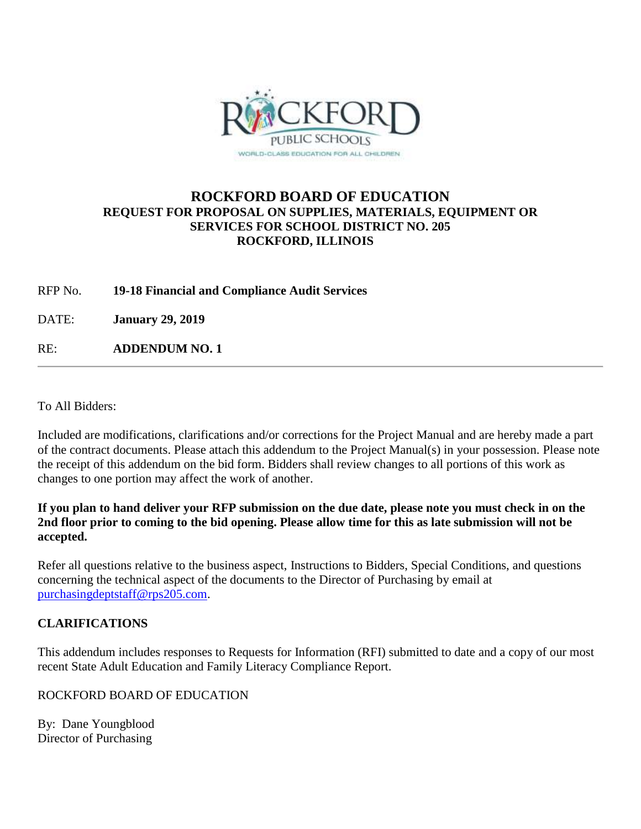

# **ROCKFORD BOARD OF EDUCATION REQUEST FOR PROPOSAL ON SUPPLIES, MATERIALS, EQUIPMENT OR SERVICES FOR SCHOOL DISTRICT NO. 205 ROCKFORD, ILLINOIS**

RFP No. **19-18 Financial and Compliance Audit Services**

DATE: **January 29, 2019**

RE: **ADDENDUM NO. 1**

To All Bidders:

Included are modifications, clarifications and/or corrections for the Project Manual and are hereby made a part of the contract documents. Please attach this addendum to the Project Manual(s) in your possession. Please note the receipt of this addendum on the bid form. Bidders shall review changes to all portions of this work as changes to one portion may affect the work of another.

**If you plan to hand deliver your RFP submission on the due date, please note you must check in on the 2nd floor prior to coming to the bid opening. Please allow time for this as late submission will not be accepted.**

Refer all questions relative to the business aspect, Instructions to Bidders, Special Conditions, and questions concerning the technical aspect of the documents to the Director of Purchasing by email at [purchasingdeptstaff@rps205.com.](mailto:purchasingdeptstaff@rps205.com)

## **CLARIFICATIONS**

This addendum includes responses to Requests for Information (RFI) submitted to date and a copy of our most recent State Adult Education and Family Literacy Compliance Report.

ROCKFORD BOARD OF EDUCATION

By: Dane Youngblood Director of Purchasing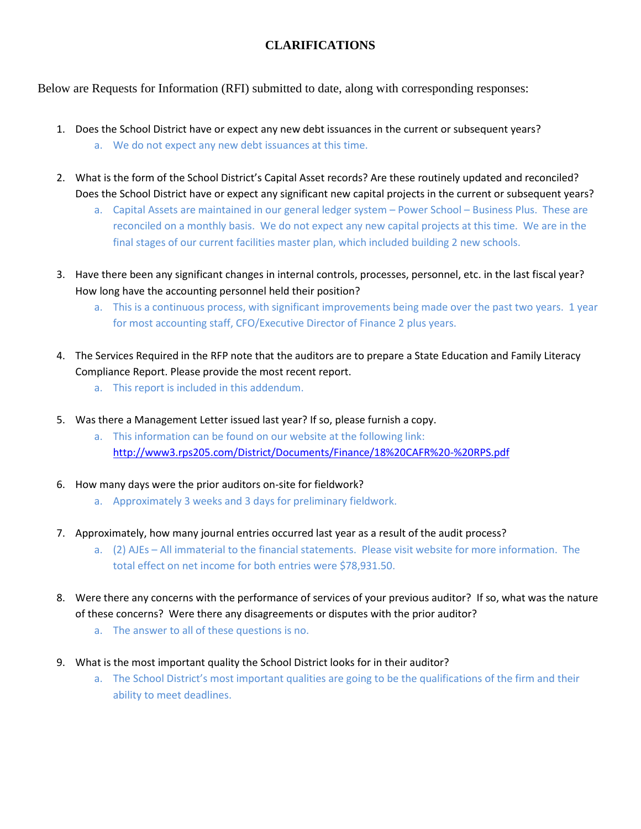# **CLARIFICATIONS**

Below are Requests for Information (RFI) submitted to date, along with corresponding responses:

- 1. Does the School District have or expect any new debt issuances in the current or subsequent years? a. We do not expect any new debt issuances at this time.
- 2. What is the form of the School District's Capital Asset records? Are these routinely updated and reconciled? Does the School District have or expect any significant new capital projects in the current or subsequent years?
	- a. Capital Assets are maintained in our general ledger system Power School Business Plus. These are reconciled on a monthly basis. We do not expect any new capital projects at this time. We are in the final stages of our current facilities master plan, which included building 2 new schools.
- 3. Have there been any significant changes in internal controls, processes, personnel, etc. in the last fiscal year? How long have the accounting personnel held their position?
	- a. This is a continuous process, with significant improvements being made over the past two years. 1 year for most accounting staff, CFO/Executive Director of Finance 2 plus years.
- 4. The Services Required in the RFP note that the auditors are to prepare a State Education and Family Literacy Compliance Report. Please provide the most recent report.
	- a. This report is included in this addendum.
- 5. Was there a Management Letter issued last year? If so, please furnish a copy.
	- a. This information can be found on our website at the following link: <http://www3.rps205.com/District/Documents/Finance/18%20CAFR%20-%20RPS.pdf>
- 6. How many days were the prior auditors on-site for fieldwork?
	- a. Approximately 3 weeks and 3 days for preliminary fieldwork.
- 7. Approximately, how many journal entries occurred last year as a result of the audit process?
	- a. (2) AJEs All immaterial to the financial statements. Please visit website for more information. The total effect on net income for both entries were \$78,931.50.
- 8. Were there any concerns with the performance of services of your previous auditor? If so, what was the nature of these concerns? Were there any disagreements or disputes with the prior auditor?
	- a. The answer to all of these questions is no.
- 9. What is the most important quality the School District looks for in their auditor?
	- a. The School District's most important qualities are going to be the qualifications of the firm and their ability to meet deadlines.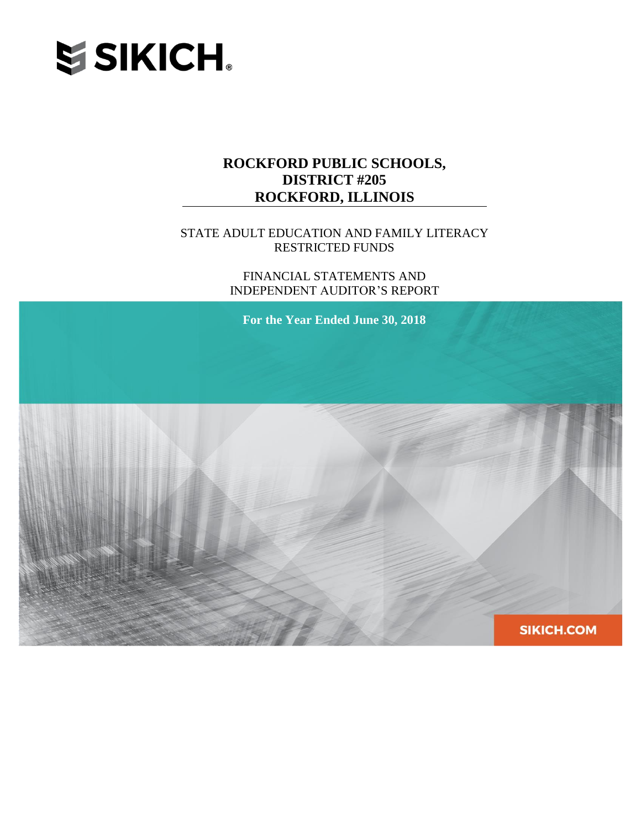

## STATE ADULT EDUCATION AND FAMILY LITERACY RESTRICTED FUNDS

FINANCIAL STATEMENTS AND INDEPENDENT AUDITOR'S REPORT

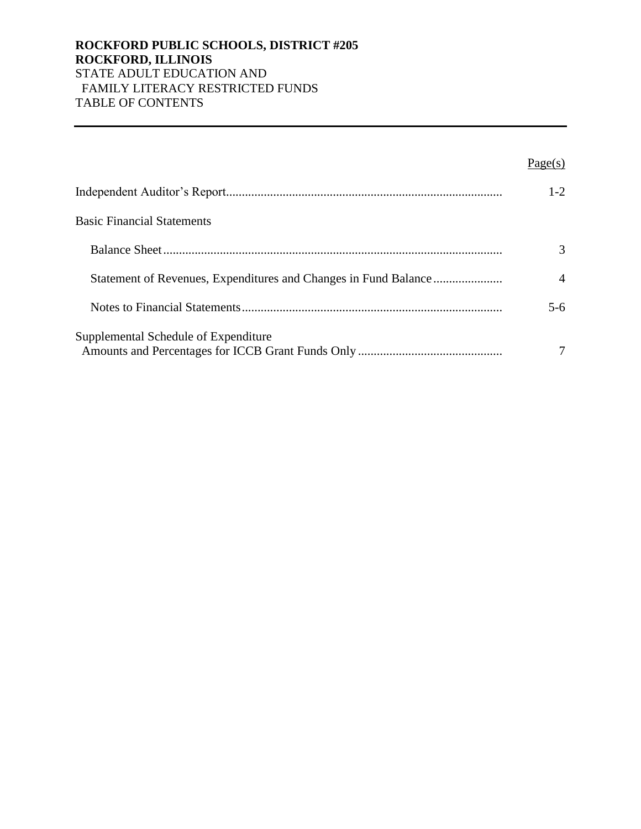## **ROCKFORD PUBLIC SCHOOLS, DISTRICT #205 ROCKFORD, ILLINOIS** STATE ADULT EDUCATION AND FAMILY LITERACY RESTRICTED FUNDS TABLE OF CONTENTS

|                                      | Page(s)        |
|--------------------------------------|----------------|
|                                      | $1 - 2$        |
| <b>Basic Financial Statements</b>    |                |
|                                      | $\mathcal{R}$  |
|                                      | $\overline{4}$ |
|                                      | $5-6$          |
| Supplemental Schedule of Expenditure |                |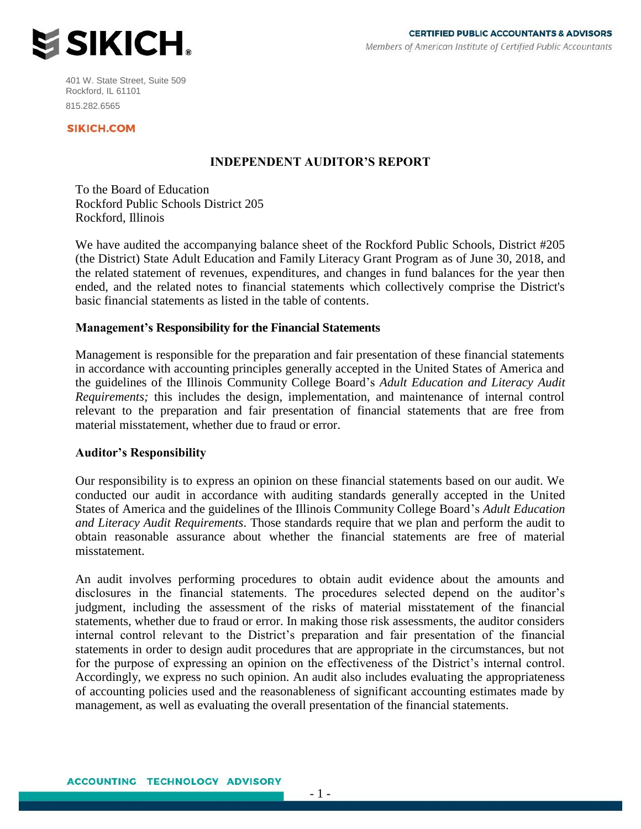

401 W. State Street, Suite 509 Rockford, IL 61101 815.282.6565

#### **SIKICH.COM**

### **INDEPENDENT AUDITOR'S REPORT**

To the Board of Education Rockford Public Schools District 205 Rockford, Illinois

We have audited the accompanying balance sheet of the Rockford Public Schools, District #205 (the District) State Adult Education and Family Literacy Grant Program as of June 30, 2018, and the related statement of revenues, expenditures, and changes in fund balances for the year then ended, and the related notes to financial statements which collectively comprise the District's basic financial statements as listed in the table of contents.

#### **Management's Responsibility for the Financial Statements**

Management is responsible for the preparation and fair presentation of these financial statements in accordance with accounting principles generally accepted in the United States of America and the guidelines of the Illinois Community College Board's *Adult Education and Literacy Audit Requirements;* this includes the design, implementation, and maintenance of internal control relevant to the preparation and fair presentation of financial statements that are free from material misstatement, whether due to fraud or error.

#### **Auditor's Responsibility**

Our responsibility is to express an opinion on these financial statements based on our audit. We conducted our audit in accordance with auditing standards generally accepted in the United States of America and the guidelines of the Illinois Community College Board's *Adult Education and Literacy Audit Requirements*. Those standards require that we plan and perform the audit to obtain reasonable assurance about whether the financial statements are free of material misstatement.

An audit involves performing procedures to obtain audit evidence about the amounts and disclosures in the financial statements. The procedures selected depend on the auditor's judgment, including the assessment of the risks of material misstatement of the financial statements, whether due to fraud or error. In making those risk assessments, the auditor considers internal control relevant to the District's preparation and fair presentation of the financial statements in order to design audit procedures that are appropriate in the circumstances, but not for the purpose of expressing an opinion on the effectiveness of the District's internal control. Accordingly, we express no such opinion. An audit also includes evaluating the appropriateness of accounting policies used and the reasonableness of significant accounting estimates made by management, as well as evaluating the overall presentation of the financial statements.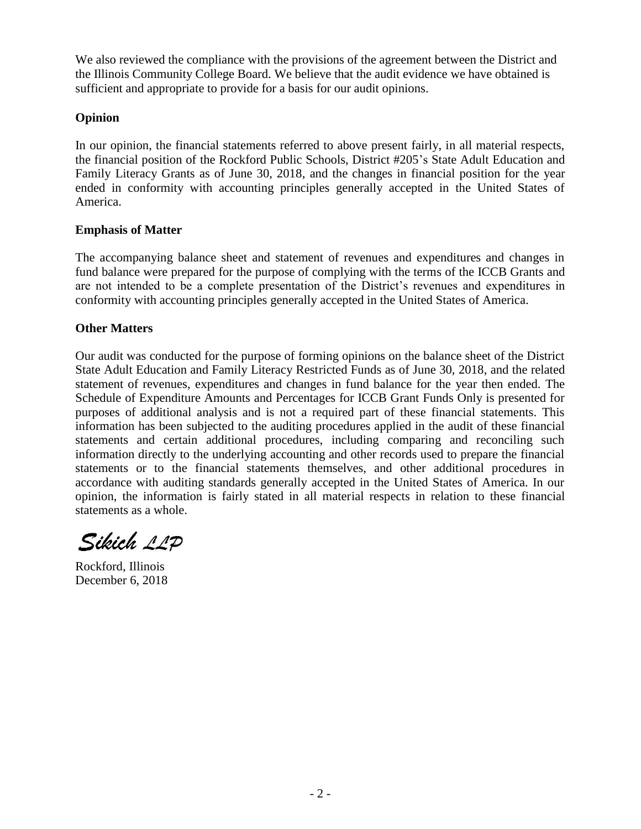We also reviewed the compliance with the provisions of the agreement between the District and the Illinois Community College Board. We believe that the audit evidence we have obtained is sufficient and appropriate to provide for a basis for our audit opinions.

### **Opinion**

In our opinion, the financial statements referred to above present fairly, in all material respects, the financial position of the Rockford Public Schools, District #205's State Adult Education and Family Literacy Grants as of June 30, 2018, and the changes in financial position for the year ended in conformity with accounting principles generally accepted in the United States of America.

### **Emphasis of Matter**

The accompanying balance sheet and statement of revenues and expenditures and changes in fund balance were prepared for the purpose of complying with the terms of the ICCB Grants and are not intended to be a complete presentation of the District's revenues and expenditures in conformity with accounting principles generally accepted in the United States of America.

## **Other Matters**

Our audit was conducted for the purpose of forming opinions on the balance sheet of the District State Adult Education and Family Literacy Restricted Funds as of June 30, 2018, and the related statement of revenues, expenditures and changes in fund balance for the year then ended. The Schedule of Expenditure Amounts and Percentages for ICCB Grant Funds Only is presented for purposes of additional analysis and is not a required part of these financial statements. This information has been subjected to the auditing procedures applied in the audit of these financial statements and certain additional procedures, including comparing and reconciling such information directly to the underlying accounting and other records used to prepare the financial statements or to the financial statements themselves, and other additional procedures in accordance with auditing standards generally accepted in the United States of America. In our opinion, the information is fairly stated in all material respects in relation to these financial statements as a whole.

Sikich 11D

Rockford, Illinois December 6, 2018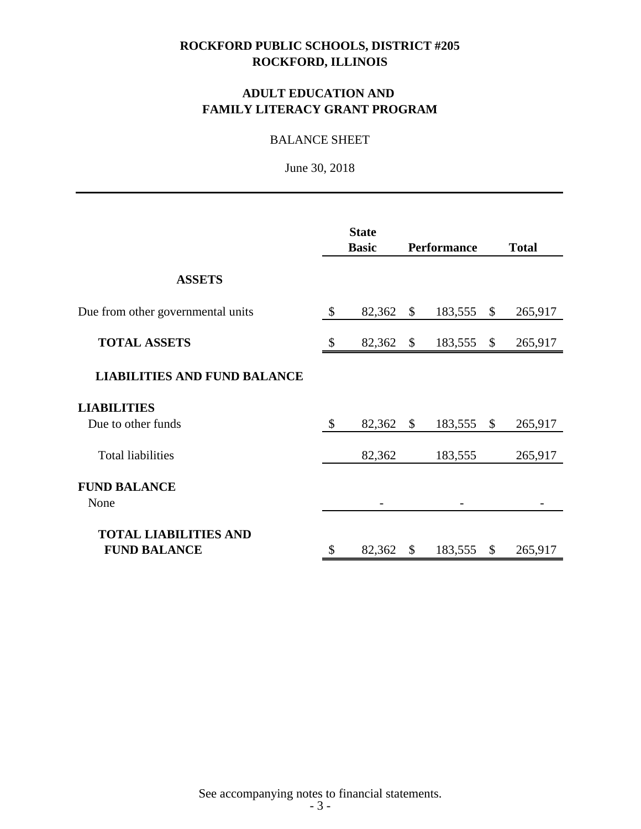# **ADULT EDUCATION AND FAMILY LITERACY GRANT PROGRAM**

## BALANCE SHEET

June 30, 2018

|                                     | <b>State</b><br><b>Basic</b> |              | <b>Performance</b> |              | <b>Total</b> |
|-------------------------------------|------------------------------|--------------|--------------------|--------------|--------------|
| <b>ASSETS</b>                       |                              |              |                    |              |              |
| Due from other governmental units   | \$<br>82,362                 | $\mathbb{S}$ | 183,555            | $\mathbb{S}$ | 265,917      |
| <b>TOTAL ASSETS</b>                 | \$<br>82,362                 | \$           | 183,555            | \$           | 265,917      |
| <b>LIABILITIES AND FUND BALANCE</b> |                              |              |                    |              |              |
| <b>LIABILITIES</b>                  |                              |              |                    |              |              |
| Due to other funds                  | \$<br>82,362                 | $\mathbb{S}$ | 183,555            | \$           | 265,917      |
| <b>Total liabilities</b>            | 82,362                       |              | 183,555            |              | 265,917      |
| <b>FUND BALANCE</b>                 |                              |              |                    |              |              |
| None                                |                              |              |                    |              |              |
| <b>TOTAL LIABILITIES AND</b>        |                              |              |                    |              |              |
| <b>FUND BALANCE</b>                 | \$<br>82,362                 | \$           | 183,555            | \$           | 265,917      |

See accompanying notes to financial statements.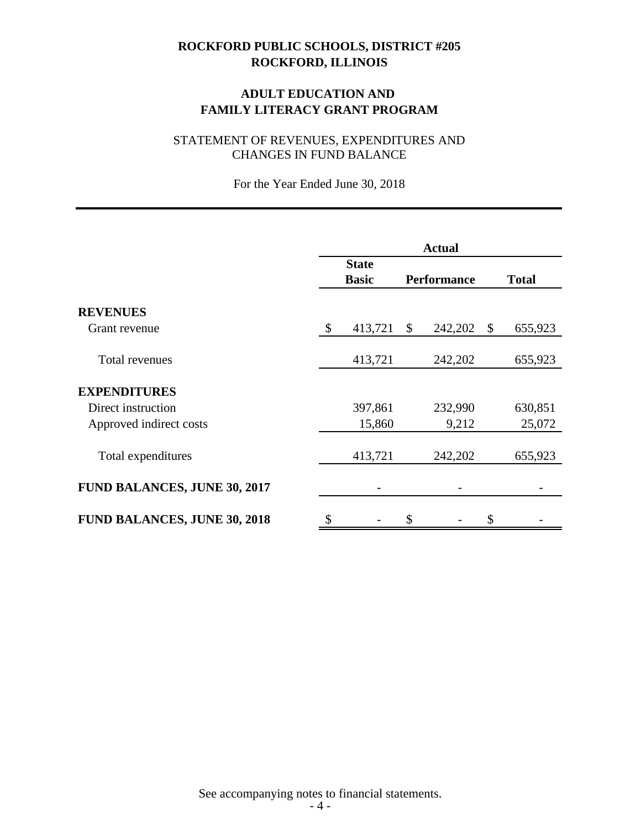# **ADULT EDUCATION AND FAMILY LITERACY GRANT PROGRAM**

# STATEMENT OF REVENUES, EXPENDITURES AND CHANGES IN FUND BALANCE

For the Year Ended June 30, 2018

|                                     | <b>Actual</b> |                              |              |                    |               |
|-------------------------------------|---------------|------------------------------|--------------|--------------------|---------------|
|                                     |               | <b>State</b><br><b>Basic</b> |              | <b>Performance</b> | <b>Total</b>  |
| <b>REVENUES</b>                     |               |                              |              |                    |               |
| Grant revenue                       | \$            | 413,721                      | $\mathbb{S}$ | 242,202            | \$<br>655,923 |
| Total revenues                      |               | 413,721                      |              | 242,202            | 655,923       |
| <b>EXPENDITURES</b>                 |               |                              |              |                    |               |
| Direct instruction                  |               | 397,861                      |              | 232,990            | 630,851       |
| Approved indirect costs             |               | 15,860                       |              | 9,212              | 25,072        |
| Total expenditures                  |               | 413,721                      |              | 242,202            | 655,923       |
| <b>FUND BALANCES, JUNE 30, 2017</b> |               |                              |              |                    |               |
| <b>FUND BALANCES, JUNE 30, 2018</b> | \$            |                              | \$           |                    | \$            |

See accompanying notes to financial statements.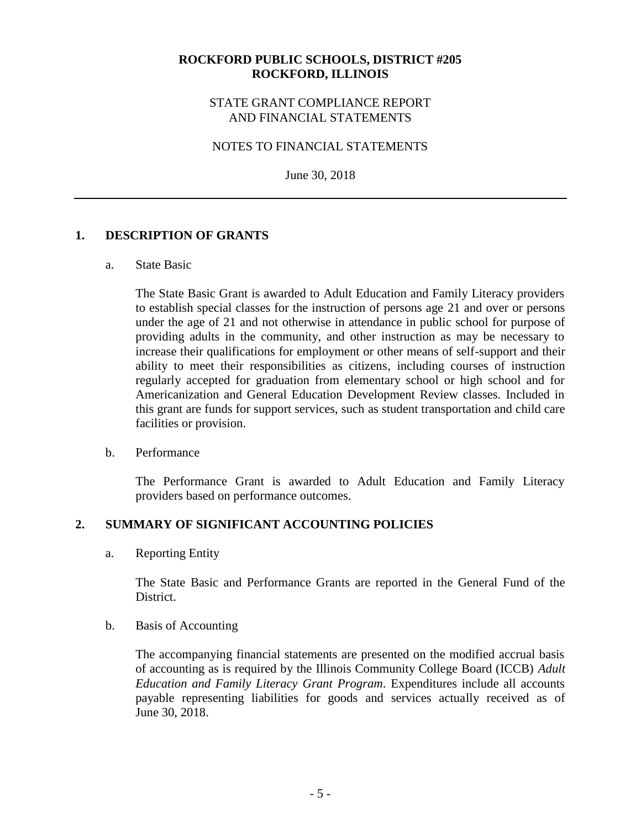### STATE GRANT COMPLIANCE REPORT AND FINANCIAL STATEMENTS

### NOTES TO FINANCIAL STATEMENTS

June 30, 2018

### **1. DESCRIPTION OF GRANTS**

#### a. State Basic

The State Basic Grant is awarded to Adult Education and Family Literacy providers to establish special classes for the instruction of persons age 21 and over or persons under the age of 21 and not otherwise in attendance in public school for purpose of providing adults in the community, and other instruction as may be necessary to increase their qualifications for employment or other means of self-support and their ability to meet their responsibilities as citizens, including courses of instruction regularly accepted for graduation from elementary school or high school and for Americanization and General Education Development Review classes. Included in this grant are funds for support services, such as student transportation and child care facilities or provision.

### b. Performance

The Performance Grant is awarded to Adult Education and Family Literacy providers based on performance outcomes.

### **2. SUMMARY OF SIGNIFICANT ACCOUNTING POLICIES**

a. Reporting Entity

The State Basic and Performance Grants are reported in the General Fund of the District.

b. Basis of Accounting

The accompanying financial statements are presented on the modified accrual basis of accounting as is required by the Illinois Community College Board (ICCB) *Adult Education and Family Literacy Grant Program*. Expenditures include all accounts payable representing liabilities for goods and services actually received as of June 30, 2018.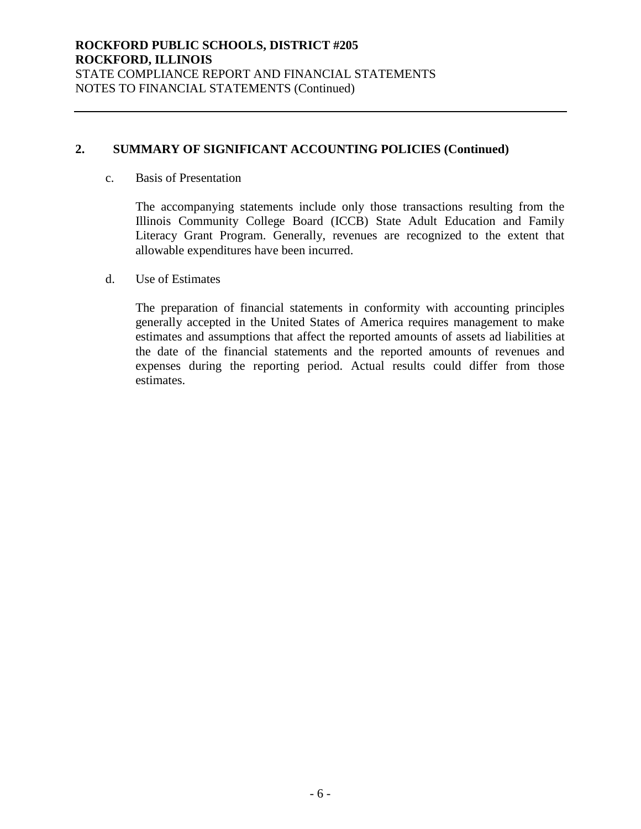# **2. SUMMARY OF SIGNIFICANT ACCOUNTING POLICIES (Continued)**

#### c. Basis of Presentation

The accompanying statements include only those transactions resulting from the Illinois Community College Board (ICCB) State Adult Education and Family Literacy Grant Program. Generally, revenues are recognized to the extent that allowable expenditures have been incurred.

### d. Use of Estimates

The preparation of financial statements in conformity with accounting principles generally accepted in the United States of America requires management to make estimates and assumptions that affect the reported amounts of assets ad liabilities at the date of the financial statements and the reported amounts of revenues and expenses during the reporting period. Actual results could differ from those estimates.